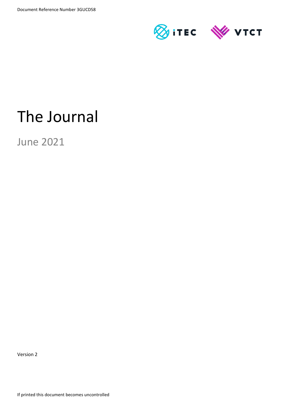

# The Journal

June 2021

Version 2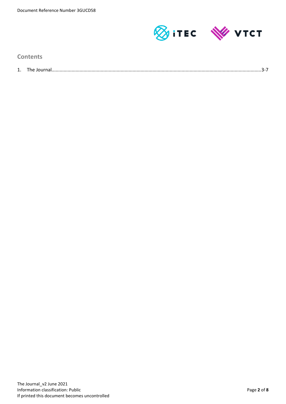

**Contents**

| . . | me<br>,,,,, |  |
|-----|-------------|--|
|     |             |  |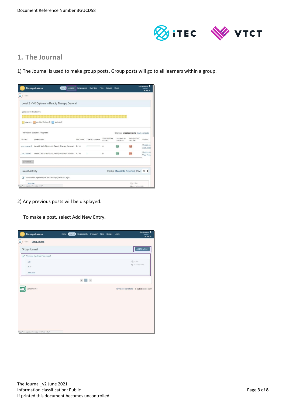

# **1. The Journal**

1) The Journal is used to make group posts. Group posts will go to all learners within a group.

| <b>ManageAssess</b>                            |                                                         | Journal<br>Home <sup>[]</sup> | <b>Components</b> | Overview         | Files<br><b>Groups</b> | <b>Users</b>            |                                            | Jon Assessor &<br>(Teacher)<br>Log out <sup>(+)</sup> |
|------------------------------------------------|---------------------------------------------------------|-------------------------------|-------------------|------------------|------------------------|-------------------------|--------------------------------------------|-------------------------------------------------------|
| ≡<br>Menu                                      |                                                         |                               |                   |                  |                        |                         |                                            |                                                       |
|                                                | Level 2 NVQ Diploma in Beauty Therapy General           |                               |                   |                  |                        |                         |                                            |                                                       |
| Component Breakdown                            |                                                         |                               |                   |                  |                        |                         |                                            |                                                       |
|                                                | Open (17) Awaiting Marking (0)<br>Marked (0)            |                               |                   |                  |                        |                         |                                            |                                                       |
|                                                | Individual Student Progress                             |                               |                   |                  |                        |                         | Showing: most complete least complete      |                                                       |
| Student                                        | Qualification                                           |                               | Unit count        | Overall progress | Components<br>to mark  | Components<br>completed | Components<br>overdue                      | Actions                                               |
| Jon Learner2                                   | Level 2 NVQ Diploma in Beauty Therapy General           |                               | 9/10              |                  | $\theta$               | 0/9                     | 0/9                                        | Upload an<br>View Prog                                |
| Jon Learner                                    | Level 2 NVQ Diploma in Beauty Therapy General 8 / 10    |                               |                   |                  | $\circ$                | 0/8                     | 0/8                                        | Upload an<br>View Prog                                |
| view more                                      |                                                         |                               |                   |                  |                        |                         |                                            |                                                       |
| <b>Latest Activity</b>                         |                                                         |                               |                   |                  |                        |                         | Showing: My Activity NewsFeed Show:        | $10$ $\div$                                           |
| a.                                             | You created a journal post on 13th Sep (3 minutes ago). |                               |                   |                  |                        |                         |                                            |                                                       |
| Work due<br>https://manage.dabdev.net/journal/ |                                                         |                               |                   |                  |                        |                         | <b>印</b> 0 files<br><b>QC</b> 0 Components |                                                       |

2) Any previous posts will be displayed.

To make a post, select Add New Entry.

| ManageAssess                                 | Home | <b>Journal</b> | Components Overview Files Groups Users |  |  | Jon Assessor &<br>(Teacher)<br>Log out <sup>(b)</sup> |
|----------------------------------------------|------|----------------|----------------------------------------|--|--|-------------------------------------------------------|
| $\equiv$<br>Menu<br><b>Group Journal</b>     |      |                |                                        |  |  |                                                       |
| Group Journal                                |      |                |                                        |  |  | Add New Entry                                         |
| Work due (updated 0 days ago)                |      |                |                                        |  |  |                                                       |
| Edit<br><b>Hi All</b>                        |      |                |                                        |  |  | $Q\eta$ o mes<br><b>Components</b>                    |
| Read More                                    |      |                |                                        |  |  |                                                       |
|                                              |      |                |                                        |  |  |                                                       |
| DigitalAssess                                |      |                |                                        |  |  | Terms and conditions © DigitalAssess 2017             |
|                                              |      |                |                                        |  |  |                                                       |
|                                              |      |                |                                        |  |  |                                                       |
|                                              |      |                |                                        |  |  |                                                       |
| https://manage.dabdev.net/journal/add-entry/ |      |                |                                        |  |  |                                                       |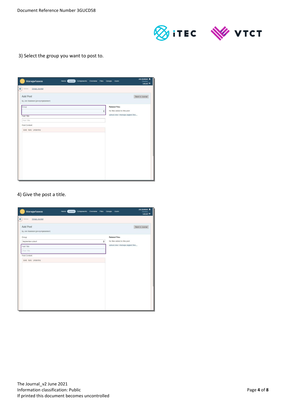

3) Select the group you want to post to.

| ManageAssess                                   | Home <b>(Journal</b> ) Components Overview Files Groups Users |   |                                                                                          | Jon Assessor &<br>(Teacher)<br>Log out <sup>(*)</sup> |
|------------------------------------------------|---------------------------------------------------------------|---|------------------------------------------------------------------------------------------|-------------------------------------------------------|
| Menu<br>Group Journal                          |                                                               |   |                                                                                          |                                                       |
| Add Post<br>by Jon Assessor (jsnvqvrqassessor) |                                                               |   |                                                                                          | Back to Journal                                       |
| Group                                          |                                                               | ÷ | <b>Related Files</b><br>No files added to this post.<br>upload new   manage tagged files |                                                       |
| Post Title<br>Post Title                       |                                                               |   |                                                                                          |                                                       |
| Post Content<br>Bold Italic Underline          |                                                               |   |                                                                                          |                                                       |
|                                                |                                                               |   |                                                                                          |                                                       |
|                                                |                                                               |   |                                                                                          |                                                       |
|                                                |                                                               |   |                                                                                          |                                                       |
|                                                |                                                               |   |                                                                                          |                                                       |
|                                                |                                                               |   |                                                                                          |                                                       |
|                                                |                                                               |   |                                                                                          |                                                       |

4) Give the post a title.

| <b>ManageAssess</b>                                   | Home (Journal) | Components Overview Files Groups Users |   |                                  | Jon Assessor &<br>(Teacher)<br>Log out <sup>(*)</sup> |
|-------------------------------------------------------|----------------|----------------------------------------|---|----------------------------------|-------------------------------------------------------|
| ≡<br>Group Journal<br>Menu                            |                |                                        |   |                                  |                                                       |
| <b>Add Post</b><br>by Jon Assessor (Jsnvqvrqassessor) |                |                                        |   |                                  | Back to Journal                                       |
| Group                                                 |                |                                        |   | <b>Related Files</b>             |                                                       |
| September cohort                                      |                |                                        | ÷ | No files added to this post.     |                                                       |
| Post Title                                            |                |                                        |   | upload new   manage tagged files |                                                       |
| Post Title                                            |                |                                        |   |                                  |                                                       |
| Post Content                                          |                |                                        |   |                                  |                                                       |
| Bold Italic Underline                                 |                |                                        |   |                                  |                                                       |
|                                                       |                |                                        |   |                                  |                                                       |
|                                                       |                |                                        |   |                                  |                                                       |
|                                                       |                |                                        |   |                                  |                                                       |
|                                                       |                |                                        |   |                                  |                                                       |
|                                                       |                |                                        |   |                                  |                                                       |
|                                                       |                |                                        |   |                                  |                                                       |
|                                                       |                |                                        |   |                                  |                                                       |
|                                                       |                |                                        |   |                                  |                                                       |
|                                                       |                |                                        |   |                                  |                                                       |
|                                                       |                |                                        |   |                                  |                                                       |
|                                                       |                |                                        |   |                                  |                                                       |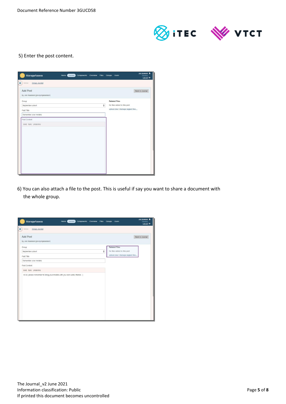

## 5) Enter the post content.

| ManageAssess                                   | Home (Journal) |  |   | Components Overview Files Groups Users | Jon Assessor &<br>(Teacher)<br>Log out $\Theta$ |
|------------------------------------------------|----------------|--|---|----------------------------------------|-------------------------------------------------|
| Ξ<br>Group Journal<br>Menu                     |                |  |   |                                        |                                                 |
| Add Post<br>by Jon Assessor (jsnvqvrqassessor) |                |  |   |                                        | Back to Journal                                 |
| Group                                          |                |  |   | <b>Related Files</b>                   |                                                 |
| September cohort                               |                |  | ÷ |                                        | No files added to this post.                    |
| Post Title                                     |                |  |   |                                        | upload new   manage tagged files                |
| Remember your models                           |                |  |   |                                        |                                                 |
| Post Content                                   |                |  |   |                                        |                                                 |
| Bold Italic Underline                          |                |  |   |                                        |                                                 |
|                                                |                |  |   |                                        |                                                 |
|                                                |                |  |   |                                        |                                                 |
|                                                |                |  |   |                                        |                                                 |
|                                                |                |  |   |                                        |                                                 |
|                                                |                |  |   |                                        |                                                 |
|                                                |                |  |   |                                        |                                                 |
|                                                |                |  |   |                                        |                                                 |
|                                                |                |  |   |                                        |                                                 |
|                                                |                |  |   |                                        |                                                 |
|                                                |                |  |   |                                        |                                                 |
|                                                |                |  |   |                                        |                                                 |

6) You can also attach a file to the post. This is useful if say you want to share a document with the whole group.

| ManageAssess                                                                | Home (Journal) | Components Overview Files |   | Groups Users |                                   | Jon Assessor &<br>(Teacher)<br>Log out <sup>(*)</sup> |
|-----------------------------------------------------------------------------|----------------|---------------------------|---|--------------|-----------------------------------|-------------------------------------------------------|
| ≡<br>Group Journal<br>Menu                                                  |                |                           |   |              |                                   |                                                       |
| <b>Add Post</b><br>by Jon Assessor (jsnvqvrqassessor)                       |                |                           |   |              |                                   | Back to Journal                                       |
| Group                                                                       |                |                           |   |              | <b>Related Files</b>              |                                                       |
| September cohort                                                            |                |                           | ÷ |              | No files added to this post.      |                                                       |
| Post Title                                                                  |                |                           |   |              | upload new   manage tagged files. |                                                       |
| Remember your models                                                        |                |                           |   |              |                                   |                                                       |
| Post Content                                                                |                |                           |   |              |                                   |                                                       |
| Bold Italic Underline                                                       |                |                           |   |              |                                   |                                                       |
| Hi All, please remember to bring your models with you next week, thanks. :) |                |                           |   |              |                                   |                                                       |
|                                                                             |                |                           |   |              |                                   |                                                       |
|                                                                             |                |                           |   |              |                                   |                                                       |
|                                                                             |                |                           |   |              |                                   |                                                       |
|                                                                             |                |                           |   |              |                                   |                                                       |
|                                                                             |                |                           |   |              |                                   |                                                       |
|                                                                             |                |                           |   |              |                                   |                                                       |
|                                                                             |                |                           |   |              |                                   |                                                       |
|                                                                             |                |                           |   |              |                                   |                                                       |
|                                                                             |                |                           |   |              |                                   |                                                       |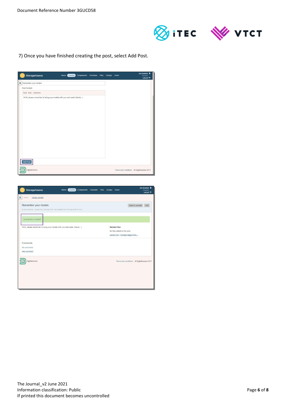

7) Once you have finished creating the post, select Add Post.

| ManageAssess                                                                            | Home (Journal) | Components Overview Files Groups Users |  | Jon Assessor &<br>(Teacher)<br>Log out <sup>(*)</sup> |
|-----------------------------------------------------------------------------------------|----------------|----------------------------------------|--|-------------------------------------------------------|
| $\equiv$ Remember your models                                                           |                |                                        |  |                                                       |
| Post Content                                                                            |                |                                        |  |                                                       |
| Bold Italic Underline                                                                   |                |                                        |  |                                                       |
| Hi All, please remember to bring your models with you next week, thanks. :)<br>Add Post |                |                                        |  |                                                       |
| DigitalAssess                                                                           |                |                                        |  | Terms and conditions © DigitalAssess 2017             |

| ManageAssess                                                                                                  | Home Journal | Components | Overview Files | <b>Groups</b> | <b>Users</b>                              | Jon Assessor &<br>(Teacher)<br>Log out <sup>(b)</sup> |  |
|---------------------------------------------------------------------------------------------------------------|--------------|------------|----------------|---------------|-------------------------------------------|-------------------------------------------------------|--|
| ≡<br>Menu<br>Group Journal                                                                                    |              |            |                |               |                                           |                                                       |  |
| Remember your models<br>by Jon Assessor - created Thu 13th Sep 2018 - last updated Thu 13th Sep 2018 at 13:52 |              |            |                |               |                                           | Back to Journal<br>Edit                               |  |
| Journal entry created!                                                                                        |              |            |                |               |                                           |                                                       |  |
| Hi All, please remember to bring your models with you next week, thanks. : )                                  |              |            |                |               | <b>Related Files</b>                      |                                                       |  |
|                                                                                                               |              |            |                |               | No files added to this post.              |                                                       |  |
|                                                                                                               |              |            |                |               | upload new   manage tagged files          |                                                       |  |
| <b>Comments</b>                                                                                               |              |            |                |               |                                           |                                                       |  |
| No comments                                                                                                   |              |            |                |               |                                           |                                                       |  |
| New comment                                                                                                   |              |            |                |               |                                           |                                                       |  |
| DigitalAssess                                                                                                 |              |            |                |               | Terms and conditions © DigitalAssess 2017 |                                                       |  |
|                                                                                                               |              |            |                |               |                                           |                                                       |  |
|                                                                                                               |              |            |                |               |                                           |                                                       |  |
|                                                                                                               |              |            |                |               |                                           |                                                       |  |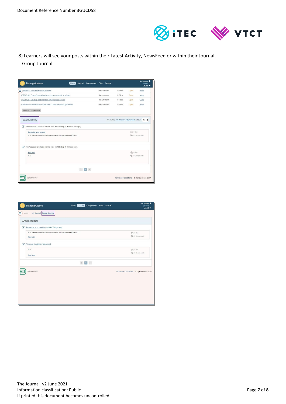

8) Learners will see your posts within their Latest Activity, NewsFeed or within their Journal, Group Journal.

| <b>ManageAssess</b><br>Journal<br><b>Components</b><br>Home                              | Files Groups |                                     |             | Jon Learner<br>(Student)<br>Log out <sup>(*</sup> |
|------------------------------------------------------------------------------------------|--------------|-------------------------------------|-------------|---------------------------------------------------|
| B200N3 - Provide pedicure services                                                       | due unknown  | 0 Files                             | Open        | View                                              |
| UG21G18 - Promote additional services or products to clients                             | due unknown  | 0 Files                             | Open        | View                                              |
| UG211G8 - Develop and maintain effectiveness at work                                     | due unknown  | 0 Files                             | Open        | View                                              |
| UB200B5 - Enhance the appearance of evebrows and evelashes                               | due unknown  | 0 Files                             | Open        | View                                              |
| View all Components                                                                      |              |                                     |             |                                                   |
| <b>Latest Activity</b>                                                                   |              | Showing: My Activity NewsFeed Show: |             | $10$ $\div$                                       |
| Jon Assessor created a journal post on 13th Sep (a few seconds ago).                     |              |                                     |             |                                                   |
| Remember your models                                                                     |              |                                     | CPI 0 files |                                                   |
| Hi All, please remember to bring your models with you next week, thanks. :)              |              |                                     |             | <b>S</b> 0 Components                             |
| Jon Assessor created a journal post on 13th Sep (5 minutes ago).<br>$\overrightarrow{a}$ |              |                                     |             |                                                   |
| Work due                                                                                 |              |                                     | CPI 0 files |                                                   |
| <b>Hi All</b>                                                                            |              |                                     |             | <b>W</b> 0 Components                             |
| $\left\langle 1 \right\rangle$                                                           |              |                                     |             |                                                   |
| DigitalAssess                                                                            |              |                                     |             | Terms and conditions © DigitalAssess 2017         |

| ManageAssess                                                                             | Components Files Groups<br>Home (Journal)         | Jon Learner<br>(Student)<br>Log out <sup>(*)</sup> |
|------------------------------------------------------------------------------------------|---------------------------------------------------|----------------------------------------------------|
| Ξ<br>My Journal Group Journal<br>Menu                                                    |                                                   |                                                    |
| Group Journal                                                                            |                                                   |                                                    |
| Remember your models (updated 0 days ago)                                                |                                                   |                                                    |
| Hi All, please remember to bring your models with you next week, thanks. :)<br>Read More |                                                   | $[2] 0$ Nos<br><b>B</b> D Components               |
| Work due (updated 0 days ago)                                                            |                                                   |                                                    |
| <b>Hi All</b>                                                                            |                                                   | <b>@ 0 files</b>                                   |
| Read More                                                                                |                                                   | <b>W</b> D Components                              |
|                                                                                          | $\langle \quad \  \  \, 1 \quad \  \  \, \rangle$ |                                                    |
| DigitalAssess                                                                            |                                                   | Terms and conditions © DigitalAssess 2017          |
|                                                                                          |                                                   |                                                    |
|                                                                                          |                                                   |                                                    |
|                                                                                          |                                                   |                                                    |
|                                                                                          |                                                   |                                                    |
|                                                                                          |                                                   |                                                    |
|                                                                                          |                                                   |                                                    |
|                                                                                          |                                                   |                                                    |